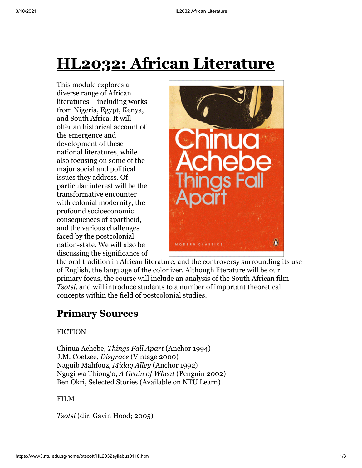# **HL2032: African Literature**

This module explores a diverse range of African literatures – including works from Nigeria, Egypt, Kenya, and South Africa. It will offer an historical account of the emergence and development of these national literatures, while also focusing on some of the major social and political issues they address. Of particular interest will be the transformative encounter with colonial modernity, the profound socioeconomic consequences of apartheid, and the various challenges faced by the postcolonial nation-state. We will also be discussing the significance of



the oral tradition in African literature, and the controversy surrounding its use of English, the language of the colonizer. Although literature will be our primary focus, the course will include an analysis of the South African film *Tsotsi*, and will introduce students to a number of important theoretical concepts within the field of postcolonial studies.

# **Primary Sources**

#### **FICTION**

Chinua Achebe, *Things Fall Apart* (Anchor 1994) J.M. Coetzee, *Disgrace* (Vintage 2000) Naguib Mahfouz, *Midaq Alley* (Anchor 1992) Ngugi wa Thiong'o, *A Grain of Wheat* (Penguin 2002) Ben Okri, Selected Stories (Available on NTU Learn)

#### FILM

*Tsotsi* (dir. Gavin Hood; 2005)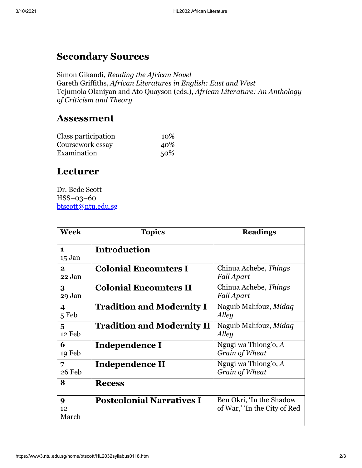## **Secondary Sources**

Simon Gikandi, *Reading the African Novel* Gareth Griffiths, *African Literatures in English: East and West* Tejumola Olaniyan and Ato Quayson (eds.), *African Literature: An Anthology of Criticism and Theory*

### **Assessment**

| Class participation | 10% |
|---------------------|-----|
| Coursework essay    | 40% |
| Examination         | 50% |

## **Lecturer**

Dr. Bede Scott HSS–03–60 [btscott@ntu.edu.sg](mailto:btscott@ntu.edu.sg)

| <b>Week</b>                       | <b>Topics</b>                     | <b>Readings</b>                                          |
|-----------------------------------|-----------------------------------|----------------------------------------------------------|
| $\blacksquare$<br>15 Jan          | <b>Introduction</b>               |                                                          |
| $\mathbf{2}$<br>22 Jan            | <b>Colonial Encounters I</b>      | Chinua Achebe, Things<br><b>Fall Apart</b>               |
| 3<br>29 Jan                       | <b>Colonial Encounters II</b>     | Chinua Achebe, Things<br><b>Fall Apart</b>               |
| $\overline{\mathbf{4}}$<br>5 Feb  | <b>Tradition and Modernity I</b>  | Naguib Mahfouz, Midaq<br>Alley                           |
| $\overline{\mathbf{5}}$<br>12 Feb | <b>Tradition and Modernity II</b> | Naguib Mahfouz, Midaq<br>Alley                           |
| 6<br>19 Feb                       | Independence I                    | Ngugi wa Thiong'o, $A$<br>Grain of Wheat                 |
| 7<br>26 Feb                       | Independence II                   | Ngugi wa Thiong'o, $A$<br>Grain of Wheat                 |
| 8                                 | <b>Recess</b>                     |                                                          |
| $\boldsymbol{Q}$<br>12<br>March   | <b>Postcolonial Narratives I</b>  | Ben Okri, 'In the Shadow<br>of War,' 'In the City of Red |